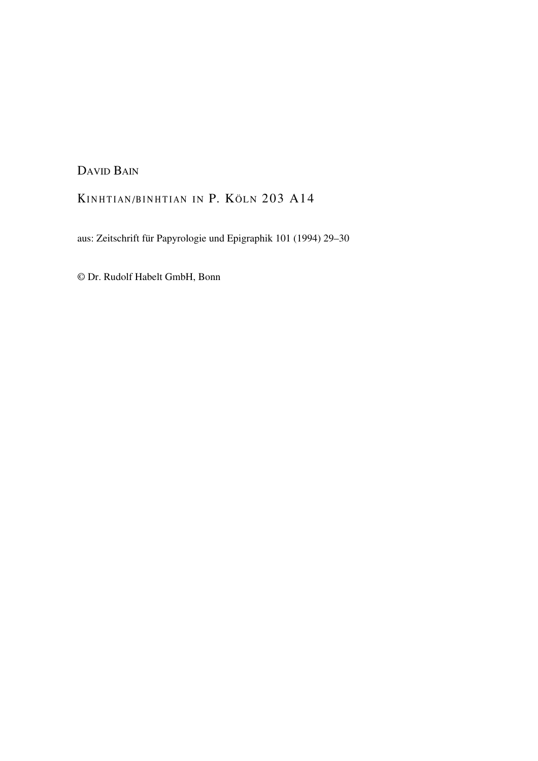DAVID BAIN

## KINHTIAN/BINHTIAN IN P. KÖLN 203 A14

aus: Zeitschrift für Papyrologie und Epigraphik 101 (1994) 29–30

© Dr. Rudolf Habelt GmbH, Bonn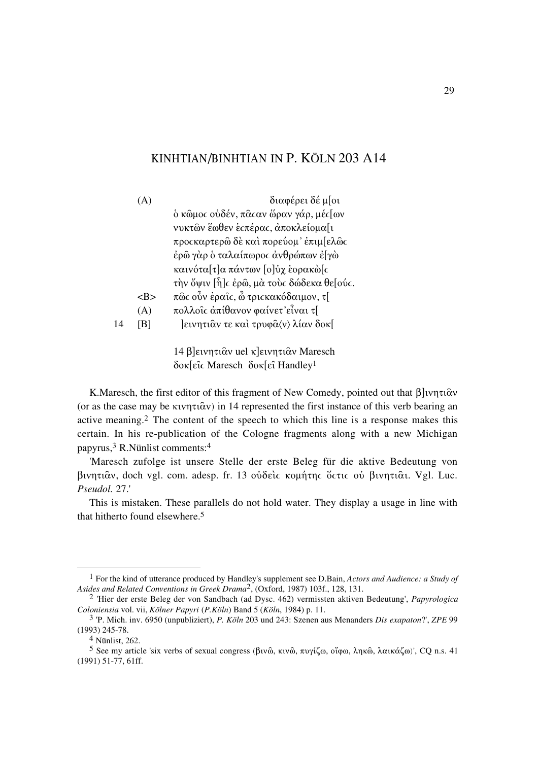## KINHTIAN/BINHTIAN IN P. KÖLN 203 A14

|    | (A)     | διαφέρει δέ μ[οι                                     |
|----|---------|------------------------------------------------------|
|    |         | δ κῶμος οὐδέν, πᾶς αν ὥραν γάρ, μές [ων              |
|    |         | νυκτῶν ἔωθεν ἑςπέρας, ἀποκλείομα[ι                   |
|    |         | προςκαρτερῶ δὲ καὶ πορεύομ' ἐπιμ[ελῶς                |
|    |         | έρῶ γὰρ ὁ ταλαίπωρος ἀνθρώπων ἐ[γὼ                   |
|    |         | καινότα[τ]α πάντων [ο]ύχ εορακὼ[ς                    |
|    |         | την ὄψιν [η͡] c έρῶ, μὰ τοὺς δώδεκα θε[ούς.          |
|    | <b></b> | πῶς οὖν ἐραῖς, ὦ τριςκακόδαιμον, τ[                  |
|    | (A)     | πολλοΐς άπίθανον φαίνετ' εἶναι τ[                    |
| 14 | [B]     | eivnτιαν τε και τρυφα (v) λίαν δοκ[                  |
|    |         |                                                      |
|    |         | $14$ Blewn $\tau_1$ ôv yel klewn $\tau_1$ ôv Maresch |

14 β]εινητιᾶν uel κ]εινητιᾶν Maresch δοκ[εῖς Maresch δοκ[εῖ Handley<sup>1</sup>

K. Maresch, the first editor of this fragment of New Comedy, pointed out that  $\beta$  v $\eta \tau \alpha$ (or as the case may be  $\kappa \nu \eta \tau \iota \hat{\alpha} \nu$ ) in 14 represented the first instance of this verb bearing an active meaning.<sup>2</sup> The content of the speech to which this line is a response makes this certain. In his re-publication of the Cologne fragments along with a new Michigan papyrus,<sup>3</sup> R.Nünlist comments:<sup>4</sup>

'Maresch zufolge ist unsere Stelle der erste Beleg für die aktive Bedeutung von βινητιαν, doch vgl. com. adesp. fr. 13 ούδεις κομήτης όςτις ού βινητιαι. Vgl. Luc. Pseudol. 27.'

This is mistaken. These parallels do not hold water. They display a usage in line with that hitherto found elsewhere.<sup>5</sup>

<sup>&</sup>lt;sup>1</sup> For the kind of utterance produced by Handley's supplement see D.Bain, Actors and Audience: a Study of Asides and Related Conventions in Greek Drama<sup>2</sup>, (Oxford, 1987) 103f., 128, 131.

<sup>&</sup>lt;sup>2</sup> 'Hier der erste Beleg der von Sandbach (ad Dysc. 462) vermissten aktiven Bedeutung', *Papyrologica* Coloniensia vol. vii, Kölner Papyri (P.Köln) Band 5 (Köln, 1984) p. 11.

 $3$  'P. Mich. inv. 6950 (unpubliziert), P. Köln 203 und 243: Szenen aus Menanders Dis exapaton?', ZPE 99  $(1993)$  245-78.

 $4$  Niinlist, 262.

<sup>5</sup> See my article 'six verbs of sexual congress (βινῶ, κινῶ, πυγίζω, οἴφω, ληκῶ, λαικάζω)', CQ n.s. 41  $(1991)$  51-77, 61ff.